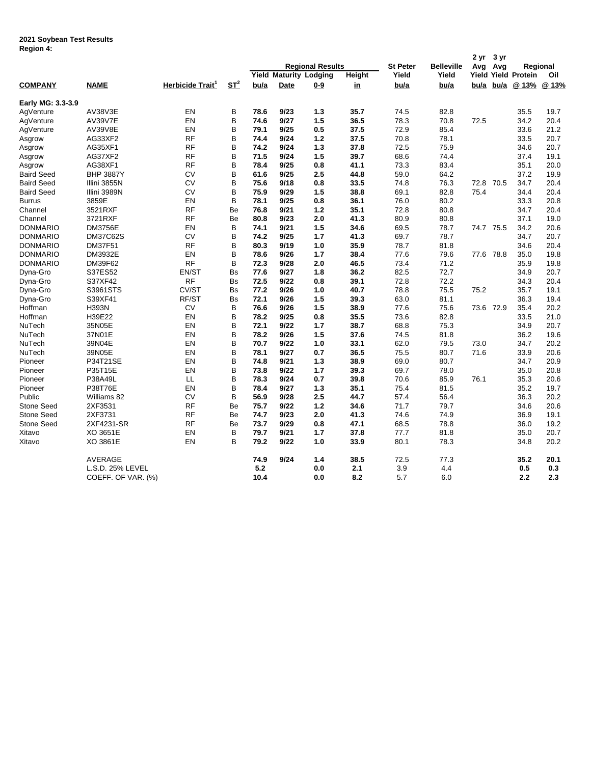## **2021 Soybean Test Results Region 4:**

| די ווטופטוו       |                    |                              |                    |      |      | <b>Regional Results</b>       |        | <b>St Peter</b> | <b>Belleville</b> | 2 yr<br>Avg | 3 yr<br>Avg |                            | Regional |
|-------------------|--------------------|------------------------------|--------------------|------|------|-------------------------------|--------|-----------------|-------------------|-------------|-------------|----------------------------|----------|
|                   |                    |                              |                    |      |      | <b>Yield Maturity Lodging</b> | Height | Yield           | Yield             |             |             | <b>Yield Yield Protein</b> | Oil      |
| <b>COMPANY</b>    | <b>NAME</b>        | Herbicide Trait <sup>1</sup> | $S_{\text{L}}^{2}$ | bu/a | Date | <u>0-9</u>                    | in     | bu/a            | <u>bu/a</u>       | bu/a        | <u>bu/a</u> | @ 13%                      | @ 13%    |
| Early MG: 3.3-3.9 |                    |                              |                    |      |      |                               |        |                 |                   |             |             |                            |          |
| AgVenture         | AV38V3E            | EN                           | B                  | 78.6 | 9/23 | 1.3                           | 35.7   | 74.5            | 82.8              |             |             | 35.5                       | 19.7     |
| AgVenture         | <b>AV39V7E</b>     | EN                           | B                  | 74.6 | 9/27 | 1.5                           | 36.5   | 78.3            | 70.8              | 72.5        |             | 34.2                       | 20.4     |
| AgVenture         | AV39V8E            | EN                           | B                  | 79.1 | 9/25 | 0.5                           | 37.5   | 72.9            | 85.4              |             |             | 33.6                       | 21.2     |
| Asgrow            | AG33XF2            | <b>RF</b>                    | B                  | 74.4 | 9/24 | 1.2                           | 37.5   | 70.8            | 78.1              |             |             | 33.5                       | 20.7     |
| Asgrow            | AG35XF1            | <b>RF</b>                    | B                  | 74.2 | 9/24 | 1.3                           | 37.8   | 72.5            | 75.9              |             |             | 34.6                       | 20.7     |
| Asgrow            | AG37XF2            | <b>RF</b>                    | B                  | 71.5 | 9/24 | 1.5                           | 39.7   | 68.6            | 74.4              |             |             | 37.4                       | 19.1     |
| Asgrow            | AG38XF1            | <b>RF</b>                    | B                  | 78.4 | 9/25 | 0.8                           | 41.1   | 73.3            | 83.4              |             |             | 35.1                       | 20.0     |
| <b>Baird Seed</b> | <b>BHP 3887Y</b>   | <b>CV</b>                    | B                  | 61.6 | 9/25 | 2.5                           | 44.8   | 59.0            | 64.2              |             |             | 37.2                       | 19.9     |
| <b>Baird Seed</b> | Illini 3855N       | <b>CV</b>                    | B                  | 75.6 | 9/18 | 0.8                           | 33.5   | 74.8            | 76.3              | 72.8        | 70.5        | 34.7                       | 20.4     |
| <b>Baird Seed</b> | Illini 3989N       | <b>CV</b>                    | B                  | 75.9 | 9/29 | 1.5                           | 38.8   | 69.1            | 82.8              | 75.4        |             | 34.4                       | 20.4     |
| Burrus            | 3859E              | EN                           | B                  | 78.1 | 9/25 | 0.8                           | 36.1   | 76.0            | 80.2              |             |             | 33.3                       | 20.8     |
| Channel           | 3521RXF            | <b>RF</b>                    | Be                 | 76.8 | 9/21 | $1.2$                         | 35.1   | 72.8            | 80.8              |             |             | 34.7                       | 20.4     |
| Channel           | 3721RXF            | <b>RF</b>                    | Be                 | 80.8 | 9/23 | 2.0                           | 41.3   | 80.9            | 80.8              |             |             | 37.1                       | 19.0     |
| <b>DONMARIO</b>   | <b>DM3756E</b>     | EN                           | B                  | 74.1 | 9/21 | 1.5                           | 34.6   | 69.5            | 78.7              |             | 74.7 75.5   | 34.2                       | 20.6     |
| <b>DONMARIO</b>   | <b>DM37C62S</b>    | <b>CV</b>                    | B                  | 74.2 | 9/25 | 1.7                           | 41.3   | 69.7            | 78.7              |             |             | 34.7                       | 20.7     |
| <b>DONMARIO</b>   | <b>DM37F51</b>     | <b>RF</b>                    | B                  | 80.3 | 9/19 | 1.0                           | 35.9   | 78.7            | 81.8              |             |             | 34.6                       | 20.4     |
| <b>DONMARIO</b>   | DM3932E            | EN                           | B                  | 78.6 | 9/26 | 1.7                           | 38.4   | 77.6            | 79.6              |             | 77.6 78.8   | 35.0                       | 19.8     |
| <b>DONMARIO</b>   | DM39F62            | <b>RF</b>                    | B                  | 72.3 | 9/28 | 2.0                           | 46.5   | 73.4            | 71.2              |             |             | 35.9                       | 19.8     |
| Dyna-Gro          | S37ES52            | EN/ST                        | <b>Bs</b>          | 77.6 | 9/27 | 1.8                           | 36.2   | 82.5            | 72.7              |             |             | 34.9                       | 20.7     |
| Dyna-Gro          | S37XF42            | <b>RF</b>                    | <b>Bs</b>          | 72.5 | 9/22 | 0.8                           | 39.1   | 72.8            | 72.2              |             |             | 34.3                       | 20.4     |
| Dyna-Gro          | S3961STS           | CV/ST                        | Bs                 | 77.2 | 9/26 | 1.0                           | 40.7   | 78.8            | 75.5              | 75.2        |             | 35.7                       | 19.1     |
| Dyna-Gro          | S39XF41            | RF/ST                        | Bs                 | 72.1 | 9/26 | 1.5                           | 39.3   | 63.0            | 81.1              |             |             | 36.3                       | 19.4     |
| Hoffman           | <b>H393N</b>       | <b>CV</b>                    | B                  | 76.6 | 9/26 | 1.5                           | 38.9   | 77.6            | 75.6              | 73.6        | 72.9        | 35.4                       | 20.2     |
| Hoffman           | H39E22             | EN                           | B                  | 78.2 | 9/25 | 0.8                           | 35.5   | 73.6            | 82.8              |             |             | 33.5                       | 21.0     |
| NuTech            | 35N05E             | EN                           | B                  | 72.1 | 9/22 | 1.7                           | 38.7   | 68.8            | 75.3              |             |             | 34.9                       | 20.7     |
| NuTech            | 37N01E             | EN                           | B                  | 78.2 | 9/26 | 1.5                           | 37.6   | 74.5            | 81.8              |             |             | 36.2                       | 19.6     |
| NuTech            | 39N04E             | EN                           | B                  | 70.7 | 9/22 | 1.0                           | 33.1   | 62.0            | 79.5              | 73.0        |             | 34.7                       | 20.2     |
| NuTech            | 39N05E             | EN                           | B                  | 78.1 | 9/27 | 0.7                           | 36.5   | 75.5            | 80.7              | 71.6        |             | 33.9                       | 20.6     |
| Pioneer           | P34T21SE           | EN                           | B                  | 74.8 | 9/21 | 1.3                           | 38.9   | 69.0            | 80.7              |             |             | 34.7                       | 20.9     |
| Pioneer           | P35T15E            | EN                           | B                  | 73.8 | 9/22 | 1.7                           | 39.3   | 69.7            | 78.0              |             |             | 35.0                       | 20.8     |
| Pioneer           | P38A49L            | LL                           | B                  | 78.3 | 9/24 | 0.7                           | 39.8   | 70.6            | 85.9              | 76.1        |             | 35.3                       | 20.6     |
| Pioneer           | <b>P38T76E</b>     | EN                           | B                  | 78.4 | 9/27 | 1.3                           | 35.1   | 75.4            | 81.5              |             |             | 35.2                       | 19.7     |
| Public            | Williams 82        | CV                           | B                  | 56.9 | 9/28 | 2.5                           | 44.7   | 57.4            | 56.4              |             |             | 36.3                       | 20.2     |
| Stone Seed        | 2XF3531            | <b>RF</b>                    | Be                 | 75.7 | 9/22 | 1.2                           | 34.6   | 71.7            | 79.7              |             |             | 34.6                       | 20.6     |
| <b>Stone Seed</b> | 2XF3731            | <b>RF</b>                    | Be                 | 74.7 | 9/23 | 2.0                           | 41.3   | 74.6            | 74.9              |             |             | 36.9                       | 19.1     |
| <b>Stone Seed</b> | 2XF4231-SR         | <b>RF</b>                    | Be                 | 73.7 | 9/29 | 0.8                           | 47.1   | 68.5            | 78.8              |             |             | 36.0                       | 19.2     |
| Xitavo            | XO 3651E           | EN                           | В                  | 79.7 | 9/21 | 1.7                           | 37.8   | 77.7            | 81.8              |             |             | 35.0                       | 20.7     |
| Xitavo            | XO 3861E           | EN                           | B                  | 79.2 | 9/22 | 1.0                           | 33.9   | 80.1            | 78.3              |             |             | 34.8                       | 20.2     |
|                   | <b>AVERAGE</b>     |                              |                    | 74.9 | 9/24 | 1.4                           | 38.5   | 72.5            | 77.3              |             |             | 35.2                       | 20.1     |
|                   | L.S.D. 25% LEVEL   |                              |                    | 5.2  |      | 0.0                           | 2.1    | 3.9             | 4.4               |             |             | 0.5                        | 0.3      |
|                   | COEFF. OF VAR. (%) |                              |                    | 10.4 |      | 0.0                           | 8.2    | 5.7             | 6.0               |             |             | 2.2                        | 2.3      |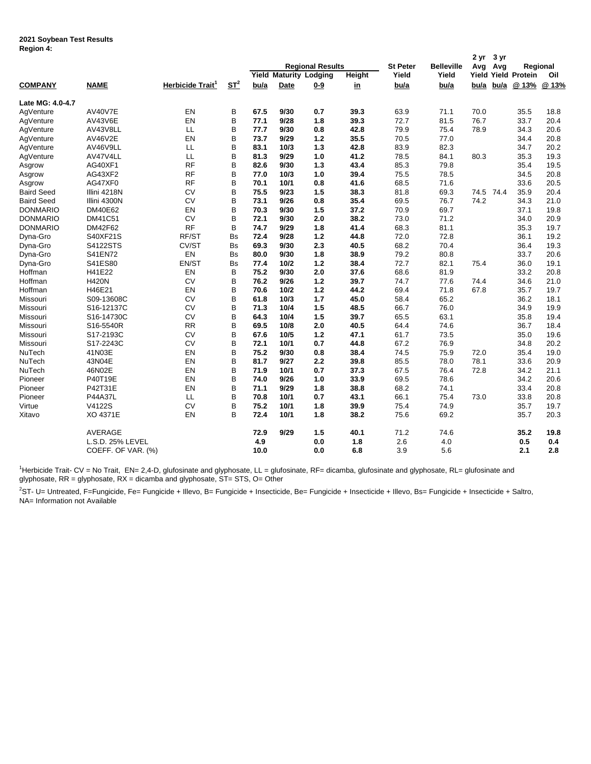## **2021 Soybean Test Results Region 4:**

| .                 |                    |                              |           |      |             | <b>Regional Results</b>       |           | <b>St Peter</b> | <b>Belleville</b> | 2 yr<br>Avg | 3 yr<br>Avg |                            | Regional |
|-------------------|--------------------|------------------------------|-----------|------|-------------|-------------------------------|-----------|-----------------|-------------------|-------------|-------------|----------------------------|----------|
|                   |                    |                              |           |      |             | <b>Yield Maturity Lodging</b> | Height    | Yield           | Yield             |             |             | <b>Yield Yield Protein</b> | Oil      |
| <b>COMPANY</b>    | <b>NAME</b>        | Herbicide Trait <sup>1</sup> | $ST^2$    | bu/a | <b>Date</b> | $0 - 9$                       | <u>in</u> | bu/a            | bu/a              | bu/a        | bu/a        | @ 13%                      | @ 13%    |
| Late MG: 4.0-4.7  |                    |                              |           |      |             |                               |           |                 |                   |             |             |                            |          |
| AgVenture         | AV40V7E            | EN                           | B         | 67.5 | 9/30        | 0.7                           | 39.3      | 63.9            | 71.1              | 70.0        |             | 35.5                       | 18.8     |
| AgVenture         | AV43V6E            | EN                           | B         | 77.1 | 9/28        | 1.8                           | 39.3      | 72.7            | 81.5              | 76.7        |             | 33.7                       | 20.4     |
| AqVenture         | AV43V8LL           | LL                           | B         | 77.7 | 9/30        | 0.8                           | 42.8      | 79.9            | 75.4              | 78.9        |             | 34.3                       | 20.6     |
| AgVenture         | AV46V2E            | EN                           | B         | 73.7 | 9/29        | 1.2                           | 35.5      | 70.5            | 77.0              |             |             | 34.4                       | 20.8     |
| AgVenture         | AV46V9LL           | LL                           | B         | 83.1 | 10/3        | 1.3                           | 42.8      | 83.9            | 82.3              |             |             | 34.7                       | 20.2     |
| AgVenture         | AV47V4LL           | LL                           | B         | 81.3 | 9/29        | 1.0                           | 41.2      | 78.5            | 84.1              | 80.3        |             | 35.3                       | 19.3     |
| Asgrow            | AG40XF1            | <b>RF</b>                    | B         | 82.6 | 9/30        | 1.3                           | 43.4      | 85.3            | 79.8              |             |             | 35.4                       | 19.5     |
| Asgrow            | AG43XF2            | <b>RF</b>                    | B         | 77.0 | 10/3        | 1.0                           | 39.4      | 75.5            | 78.5              |             |             | 34.5                       | 20.8     |
| Asgrow            | AG47XF0            | <b>RF</b>                    | B         | 70.1 | 10/1        | 0.8                           | 41.6      | 68.5            | 71.6              |             |             | 33.6                       | 20.5     |
| <b>Baird Seed</b> | Illini 4218N       | <b>CV</b>                    | B         | 75.5 | 9/23        | 1.5                           | 38.3      | 81.8            | 69.3              | 74.5        | 74.4        | 35.9                       | 20.4     |
| <b>Baird Seed</b> | Illini 4300N       | <b>CV</b>                    | B         | 73.1 | 9/26        | 0.8                           | 35.4      | 69.5            | 76.7              | 74.2        |             | 34.3                       | 21.0     |
| <b>DONMARIO</b>   | <b>DM40E62</b>     | EN                           | B         | 70.3 | 9/30        | 1.5                           | 37.2      | 70.9            | 69.7              |             |             | 37.1                       | 19.8     |
| <b>DONMARIO</b>   | DM41C51            | <b>CV</b>                    | B         | 72.1 | 9/30        | 2.0                           | 38.2      | 73.0            | 71.2              |             |             | 34.0                       | 20.9     |
| <b>DONMARIO</b>   | DM42F62            | <b>RF</b>                    | B         | 74.7 | 9/29        | 1.8                           | 41.4      | 68.3            | 81.1              |             |             | 35.3                       | 19.7     |
| Dyna-Gro          | S40XF21S           | RF/ST                        | <b>Bs</b> | 72.4 | 9/28        | 1.2                           | 44.8      | 72.0            | 72.8              |             |             | 36.1                       | 19.2     |
| Dyna-Gro          | <b>S4122STS</b>    | CV/ST                        | <b>Bs</b> | 69.3 | 9/30        | 2.3                           | 40.5      | 68.2            | 70.4              |             |             | 36.4                       | 19.3     |
| Dyna-Gro          | S41EN72            | EN                           | <b>Bs</b> | 80.0 | 9/30        | 1.8                           | 38.9      | 79.2            | 80.8              |             |             | 33.7                       | 20.6     |
| Dyna-Gro          | S41ES80            | EN/ST                        | <b>Bs</b> | 77.4 | 10/2        | 1.2                           | 38.4      | 72.7            | 82.1              | 75.4        |             | 36.0                       | 19.1     |
| Hoffman           | H41E22             | EN                           | B         | 75.2 | 9/30        | 2.0                           | 37.6      | 68.6            | 81.9              |             |             | 33.2                       | 20.8     |
| Hoffman           | <b>H420N</b>       | <b>CV</b>                    | B         | 76.2 | 9/26        | 1.2                           | 39.7      | 74.7            | 77.6              | 74.4        |             | 34.6                       | 21.0     |
| Hoffman           | H46E21             | EN                           | B         | 70.6 | 10/2        | 1.2                           | 44.2      | 69.4            | 71.8              | 67.8        |             | 35.7                       | 19.7     |
| Missouri          | S09-13608C         | <b>CV</b>                    | B         | 61.8 | 10/3        | 1.7                           | 45.0      | 58.4            | 65.2              |             |             | 36.2                       | 18.1     |
| Missouri          | S16-12137C         | <b>CV</b>                    | B         | 71.3 | 10/4        | 1.5                           | 48.5      | 66.7            | 76.0              |             |             | 34.9                       | 19.9     |
| Missouri          | S16-14730C         | <b>CV</b>                    | B         | 64.3 | 10/4        | 1.5                           | 39.7      | 65.5            | 63.1              |             |             | 35.8                       | 19.4     |
| Missouri          | S16-5540R          | <b>RR</b>                    | B         | 69.5 | 10/8        | 2.0                           | 40.5      | 64.4            | 74.6              |             |             | 36.7                       | 18.4     |
| Missouri          | S17-2193C          | <b>CV</b>                    | B         | 67.6 | 10/5        | 1.2                           | 47.1      | 61.7            | 73.5              |             |             | 35.0                       | 19.6     |
| Missouri          | S17-2243C          | CV                           | B         | 72.1 | 10/1        | 0.7                           | 44.8      | 67.2            | 76.9              |             |             | 34.8                       | 20.2     |
| <b>NuTech</b>     | 41N03E             | EN                           | B         | 75.2 | 9/30        | 0.8                           | 38.4      | 74.5            | 75.9              | 72.0        |             | 35.4                       | 19.0     |
| NuTech            | 43N04E             | EN                           | B         | 81.7 | 9/27        | 2.2                           | 39.8      | 85.5            | 78.0              | 78.1        |             | 33.6                       | 20.9     |
| NuTech            | 46N02E             | EN                           | B         | 71.9 | 10/1        | 0.7                           | 37.3      | 67.5            | 76.4              | 72.8        |             | 34.2                       | 21.1     |
| Pioneer           | P40T19E            | EN                           | B         | 74.0 | 9/26        | 1.0                           | 33.9      | 69.5            | 78.6              |             |             | 34.2                       | 20.6     |
| Pioneer           | P42T31E            | EN                           | B         | 71.1 | 9/29        | 1.8                           | 38.8      | 68.2            | 74.1              |             |             | 33.4                       | 20.8     |
| Pioneer           | P44A37L            | LL                           | B         | 70.8 | 10/1        | 0.7                           | 43.1      | 66.1            | 75.4              | 73.0        |             | 33.8                       | 20.8     |
| Virtue            | V4122S             | CV                           | B         | 75.2 | 10/1        | 1.8                           | 39.9      | 75.4            | 74.9              |             |             | 35.7                       | 19.7     |
| Xitavo            | XO 4371E           | EN                           | B         | 72.4 | 10/1        | 1.8                           | 38.2      | 75.6            | 69.2              |             |             | 35.7                       | 20.3     |
|                   | <b>AVERAGE</b>     |                              |           | 72.9 | 9/29        | 1.5                           | 40.1      | 71.2            | 74.6              |             |             | 35.2                       | 19.8     |
|                   | L.S.D. 25% LEVEL   |                              |           | 4.9  |             | 0.0                           | 1.8       | 2.6             | 4.0               |             |             | 0.5                        | 0.4      |
|                   | COEFF. OF VAR. (%) |                              |           | 10.0 |             | 0.0                           | 6.8       | 3.9             | 5.6               |             |             | 2.1                        | 2.8      |

<sup>1</sup>Herbicide Trait- CV = No Trait, EN= 2,4-D, glufosinate and glyphosate, LL = glufosinate, RF= dicamba, glufosinate and glyphosate, RL= glufosinate and glyphosate, RR = glyphosate, RX = dicamba and glyphosate, ST= STS, O= Other

<sup>2</sup>ST- U= Untreated, F=Fungicide, Fe= Fungicide + Illevo, B= Fungicide + Insecticide, Be= Fungicide + Insecticide + Insecticide + Insecticide + Saltro, NA= Information not Available